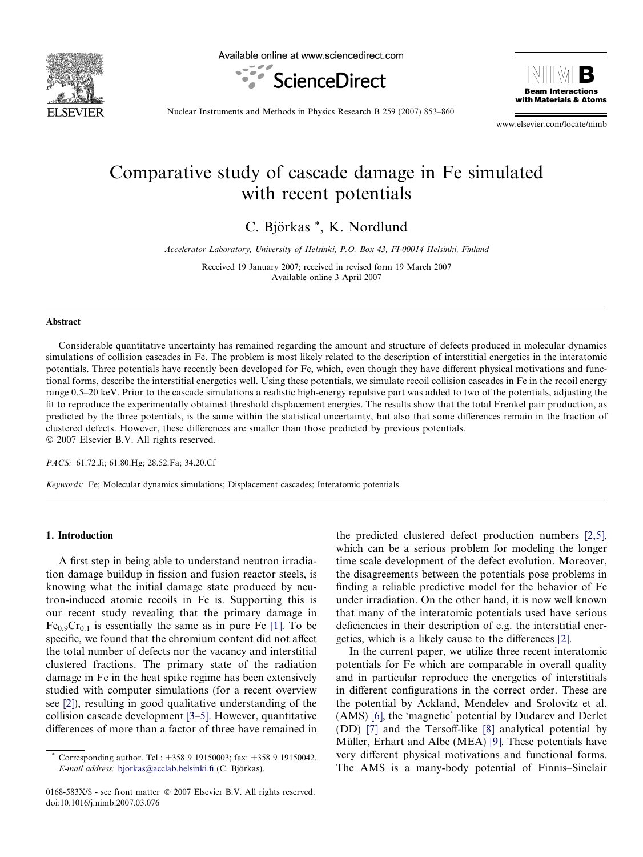

Available online at www.sciencedirect.com





Nuclear Instruments and Methods in Physics Research B 259 (2007) 853–860

www.elsevier.com/locate/nimb

# Comparative study of cascade damage in Fe simulated with recent potentials

C. Björkas \*, K. Nordlund

Accelerator Laboratory, University of Helsinki, P.O. Box 43, FI-00014 Helsinki, Finland

Received 19 January 2007; received in revised form 19 March 2007 Available online 3 April 2007

#### Abstract

Considerable quantitative uncertainty has remained regarding the amount and structure of defects produced in molecular dynamics simulations of collision cascades in Fe. The problem is most likely related to the description of interstitial energetics in the interatomic potentials. Three potentials have recently been developed for Fe, which, even though they have different physical motivations and functional forms, describe the interstitial energetics well. Using these potentials, we simulate recoil collision cascades in Fe in the recoil energy range 0.5–20 keV. Prior to the cascade simulations a realistic high-energy repulsive part was added to two of the potentials, adjusting the fit to reproduce the experimentally obtained threshold displacement energies. The results show that the total Frenkel pair production, as predicted by the three potentials, is the same within the statistical uncertainty, but also that some differences remain in the fraction of clustered defects. However, these differences are smaller than those predicted by previous potentials.  $© 2007 Elsevier B.V. All rights reserved.$ 

PACS: 61.72.Ji; 61.80.Hg; 28.52.Fa; 34.20.Cf

Keywords: Fe; Molecular dynamics simulations; Displacement cascades; Interatomic potentials

## 1. Introduction

A first step in being able to understand neutron irradiation damage buildup in fission and fusion reactor steels, is knowing what the initial damage state produced by neutron-induced atomic recoils in Fe is. Supporting this is our recent study revealing that the primary damage in  $Fe<sub>0.9</sub>Cr<sub>0.1</sub>$  is essentially the same as in pure Fe [\[1\]](#page-7-0). To be specific, we found that the chromium content did not affect the total number of defects nor the vacancy and interstitial clustered fractions. The primary state of the radiation damage in Fe in the heat spike regime has been extensively studied with computer simulations (for a recent overview see [\[2\]\)](#page-7-0), resulting in good qualitative understanding of the collision cascade development [\[3–5\]](#page-7-0). However, quantitative differences of more than a factor of three have remained in the predicted clustered defect production numbers [\[2,5\],](#page-7-0) which can be a serious problem for modeling the longer time scale development of the defect evolution. Moreover, the disagreements between the potentials pose problems in finding a reliable predictive model for the behavior of Fe under irradiation. On the other hand, it is now well known that many of the interatomic potentials used have serious deficiencies in their description of e.g. the interstitial energetics, which is a likely cause to the differences [\[2\]](#page-7-0).

In the current paper, we utilize three recent interatomic potentials for Fe which are comparable in overall quality and in particular reproduce the energetics of interstitials in different configurations in the correct order. These are the potential by Ackland, Mendelev and Srolovitz et al. (AMS) [\[6\]](#page-7-0), the 'magnetic' potential by Dudarev and Derlet (DD) [\[7\]](#page-7-0) and the Tersoff-like [\[8\]](#page-7-0) analytical potential by Müller, Erhart and Albe (MEA) [\[9\]](#page-7-0). These potentials have very different physical motivations and functional forms. The AMS is a many-body potential of Finnis–Sinclair

Corresponding author. Tel.: +358 9 19150003; fax: +358 9 19150042. E-mail address: [bjorkas@acclab.helsinki.fi](mailto:bjorkas@acclab.helsinki.fi) (C. Björkas).

<sup>0168-583</sup>X/\$ - see front matter © 2007 Elsevier B.V. All rights reserved. doi:10.1016/j.nimb.2007.03.076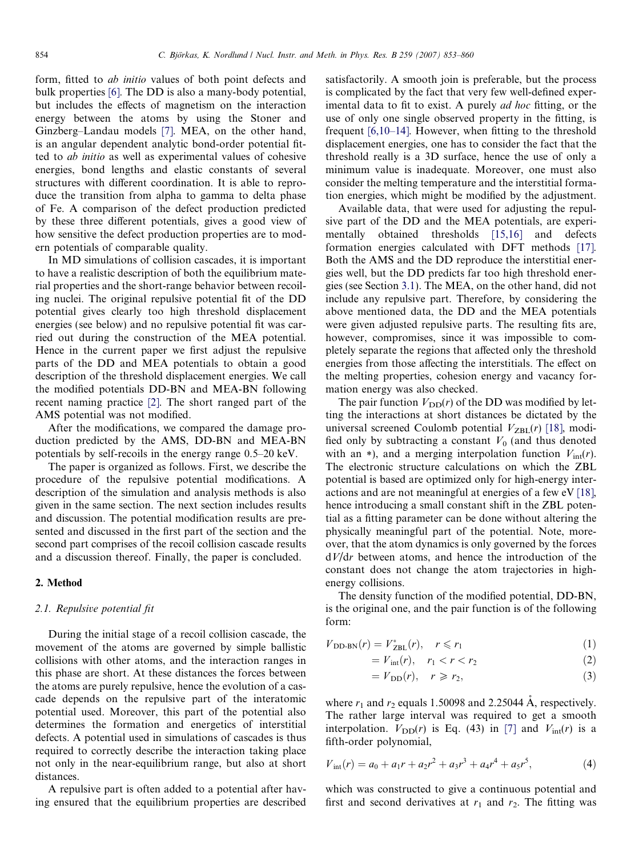<span id="page-1-0"></span>form, fitted to ab initio values of both point defects and bulk properties [\[6\].](#page-7-0) The DD is also a many-body potential, but includes the effects of magnetism on the interaction energy between the atoms by using the Stoner and Ginzberg–Landau models [\[7\]](#page-7-0). MEA, on the other hand, is an angular dependent analytic bond-order potential fitted to ab initio as well as experimental values of cohesive energies, bond lengths and elastic constants of several structures with different coordination. It is able to reproduce the transition from alpha to gamma to delta phase of Fe. A comparison of the defect production predicted by these three different potentials, gives a good view of how sensitive the defect production properties are to modern potentials of comparable quality.

In MD simulations of collision cascades, it is important to have a realistic description of both the equilibrium material properties and the short-range behavior between recoiling nuclei. The original repulsive potential fit of the DD potential gives clearly too high threshold displacement energies (see below) and no repulsive potential fit was carried out during the construction of the MEA potential. Hence in the current paper we first adjust the repulsive parts of the DD and MEA potentials to obtain a good description of the threshold displacement energies. We call the modified potentials DD-BN and MEA-BN following recent naming practice [\[2\]](#page-7-0). The short ranged part of the AMS potential was not modified.

After the modifications, we compared the damage production predicted by the AMS, DD-BN and MEA-BN potentials by self-recoils in the energy range 0.5–20 keV.

The paper is organized as follows. First, we describe the procedure of the repulsive potential modifications. A description of the simulation and analysis methods is also given in the same section. The next section includes results and discussion. The potential modification results are presented and discussed in the first part of the section and the second part comprises of the recoil collision cascade results and a discussion thereof. Finally, the paper is concluded.

# 2. Method

# 2.1. Repulsive potential fit

During the initial stage of a recoil collision cascade, the movement of the atoms are governed by simple ballistic collisions with other atoms, and the interaction ranges in this phase are short. At these distances the forces between the atoms are purely repulsive, hence the evolution of a cascade depends on the repulsive part of the interatomic potential used. Moreover, this part of the potential also determines the formation and energetics of interstitial defects. A potential used in simulations of cascades is thus required to correctly describe the interaction taking place not only in the near-equilibrium range, but also at short distances.

A repulsive part is often added to a potential after having ensured that the equilibrium properties are described satisfactorily. A smooth join is preferable, but the process is complicated by the fact that very few well-defined experimental data to fit to exist. A purely ad hoc fitting, or the use of only one single observed property in the fitting, is frequent [\[6,10–14\].](#page-7-0) However, when fitting to the threshold displacement energies, one has to consider the fact that the threshold really is a 3D surface, hence the use of only a minimum value is inadequate. Moreover, one must also consider the melting temperature and the interstitial formation energies, which might be modified by the adjustment.

Available data, that were used for adjusting the repulsive part of the DD and the MEA potentials, are experimentally obtained thresholds [\[15,16\]](#page-7-0) and defects formation energies calculated with DFT methods [\[17\]](#page-7-0). Both the AMS and the DD reproduce the interstitial energies well, but the DD predicts far too high threshold energies (see Section [3.1\)](#page-3-0). The MEA, on the other hand, did not include any repulsive part. Therefore, by considering the above mentioned data, the DD and the MEA potentials were given adjusted repulsive parts. The resulting fits are, however, compromises, since it was impossible to completely separate the regions that affected only the threshold energies from those affecting the interstitials. The effect on the melting properties, cohesion energy and vacancy formation energy was also checked.

The pair function  $V_{DD}(r)$  of the DD was modified by letting the interactions at short distances be dictated by the universal screened Coulomb potential  $V_{ZBL}(r)$  [\[18\]](#page-7-0), modified only by subtracting a constant  $V_0$  (and thus denoted with an \*), and a merging interpolation function  $V_{\text{int}}(r)$ . The electronic structure calculations on which the ZBL potential is based are optimized only for high-energy interactions and are not meaningful at energies of a few eV [\[18\]](#page-7-0), hence introducing a small constant shift in the ZBL potential as a fitting parameter can be done without altering the physically meaningful part of the potential. Note, moreover, that the atom dynamics is only governed by the forces  $dV/dr$  between atoms, and hence the introduction of the constant does not change the atom trajectories in highenergy collisions.

The density function of the modified potential, DD-BN, is the original one, and the pair function is of the following form:

$$
V_{\text{DD-BN}}(r) = V_{\text{ZBL}}^*(r), \quad r \leq r_1 \tag{1}
$$

$$
=V_{\rm int}(r), \quad r_1 < r < r_2 \tag{2}
$$

$$
=V_{\text{DD}}(r), \quad r \geq r_2,\tag{3}
$$

where  $r_1$  and  $r_2$  equals 1.50098 and 2.25044 A, respectively. The rather large interval was required to get a smooth interpolation.  $V_{DD}(r)$  is Eq. (43) in [\[7\]](#page-7-0) and  $V_{int}(r)$  is a fifth-order polynomial,

$$
V_{\text{int}}(r) = a_0 + a_1r + a_2r^2 + a_3r^3 + a_4r^4 + a_5r^5,
$$
 (4)

which was constructed to give a continuous potential and first and second derivatives at  $r_1$  and  $r_2$ . The fitting was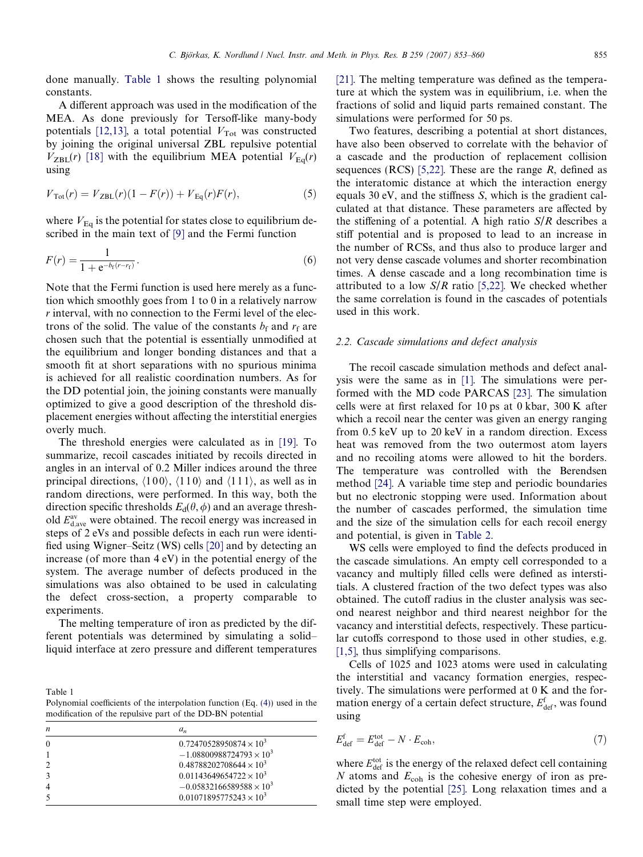<span id="page-2-0"></span>done manually. Table 1 shows the resulting polynomial constants.

A different approach was used in the modification of the MEA. As done previously for Tersoff-like many-body potentials [\[12,13\],](#page-7-0) a total potential  $V_{\text{Tot}}$  was constructed by joining the original universal ZBL repulsive potential  $V_{ZBL}(r)$  [\[18\]](#page-7-0) with the equilibrium MEA potential  $V_{Eq}(r)$ using

$$
V_{\text{Tot}}(r) = V_{\text{ZBL}}(r)(1 - F(r)) + V_{\text{Eq}}(r)F(r), \tag{5}
$$

where  $V_{\text{Eq}}$  is the potential for states close to equilibrium de-scribed in the main text of [\[9\]](#page-7-0) and the Fermi function

$$
F(r) = \frac{1}{1 + e^{-b_{\rm f}(r - r_{\rm f})}}.\tag{6}
$$

Note that the Fermi function is used here merely as a function which smoothly goes from 1 to 0 in a relatively narrow r interval, with no connection to the Fermi level of the electrons of the solid. The value of the constants  $b_f$  and  $r_f$  are chosen such that the potential is essentially unmodified at the equilibrium and longer bonding distances and that a smooth fit at short separations with no spurious minima is achieved for all realistic coordination numbers. As for the DD potential join, the joining constants were manually optimized to give a good description of the threshold displacement energies without affecting the interstitial energies overly much.

The threshold energies were calculated as in [\[19\].](#page-7-0) To summarize, recoil cascades initiated by recoils directed in angles in an interval of 0.2 Miller indices around the three principal directions,  $\langle 100 \rangle$ ,  $\langle 110 \rangle$  and  $\langle 111 \rangle$ , as well as in random directions, were performed. In this way, both the direction specific thresholds  $E_d(\theta,\phi)$  and an average threshold  $E_{\text{d,ave}}^{\text{av}}$  were obtained. The recoil energy was increased in steps of 2 eVs and possible defects in each run were identified using Wigner–Seitz (WS) cells [\[20\]](#page-7-0) and by detecting an increase (of more than 4 eV) in the potential energy of the system. The average number of defects produced in the simulations was also obtained to be used in calculating the defect cross-section, a property comparable to experiments.

The melting temperature of iron as predicted by the different potentials was determined by simulating a solid– liquid interface at zero pressure and different temperatures

Table 1 Polynomial coefficients of the interpolation function (Eq. [\(4\)\)](#page-1-0) used in the modification of the repulsive part of the DD-BN potential

| n              | $a_n$                             |
|----------------|-----------------------------------|
| $\theta$       | $0.72470528950874 \times 10^3$    |
|                | $-1.08800988724793\times 10^{3}$  |
| $\mathfrak{D}$ | $0.48788202708644 \times 10^3$    |
| $\mathcal{R}$  | $0.01143649654722 \times 10^3$    |
| $\overline{4}$ | $-0.05832166589588 \times 10^{3}$ |
|                | $0.01071895775243 \times 10^3$    |

[\[21\].](#page-7-0) The melting temperature was defined as the temperature at which the system was in equilibrium, i.e. when the fractions of solid and liquid parts remained constant. The simulations were performed for 50 ps.

Two features, describing a potential at short distances, have also been observed to correlate with the behavior of a cascade and the production of replacement collision sequences (RCS) [\[5,22\]](#page-7-0). These are the range  $R$ , defined as the interatomic distance at which the interaction energy equals 30 eV, and the stiffness S, which is the gradient calculated at that distance. These parameters are affected by the stiffening of a potential. A high ratio  $S/R$  describes a stiff potential and is proposed to lead to an increase in the number of RCSs, and thus also to produce larger and not very dense cascade volumes and shorter recombination times. A dense cascade and a long recombination time is attributed to a low  $S/R$  ratio [\[5,22\]](#page-7-0). We checked whether the same correlation is found in the cascades of potentials used in this work.

#### 2.2. Cascade simulations and defect analysis

The recoil cascade simulation methods and defect analysis were the same as in [\[1\]](#page-7-0). The simulations were performed with the MD code PARCAS [\[23\]](#page-7-0). The simulation cells were at first relaxed for 10 ps at 0 kbar, 300 K after which a recoil near the center was given an energy ranging from 0.5 keV up to 20 keV in a random direction. Excess heat was removed from the two outermost atom layers and no recoiling atoms were allowed to hit the borders. The temperature was controlled with the Berendsen method [\[24\]](#page-7-0). A variable time step and periodic boundaries but no electronic stopping were used. Information about the number of cascades performed, the simulation time and the size of the simulation cells for each recoil energy and potential, is given in [Table 2.](#page-3-0)

WS cells were employed to find the defects produced in the cascade simulations. An empty cell corresponded to a vacancy and multiply filled cells were defined as interstitials. A clustered fraction of the two defect types was also obtained. The cutoff radius in the cluster analysis was second nearest neighbor and third nearest neighbor for the vacancy and interstitial defects, respectively. These particular cutoffs correspond to those used in other studies, e.g. [\[1,5\],](#page-7-0) thus simplifying comparisons.

Cells of 1025 and 1023 atoms were used in calculating the interstitial and vacancy formation energies, respectively. The simulations were performed at 0 K and the formation energy of a certain defect structure,  $E_{\text{def}}^{\text{f}}$ , was found using

$$
E_{\text{def}}^{\text{f}} = E_{\text{def}}^{\text{tot}} - N \cdot E_{\text{coh}},\tag{7}
$$

where  $E_{\text{def}}^{\text{tot}}$  is the energy of the relaxed defect cell containing  $N$  atoms and  $E_{coh}$  is the cohesive energy of iron as predicted by the potential [\[25\].](#page-7-0) Long relaxation times and a small time step were employed.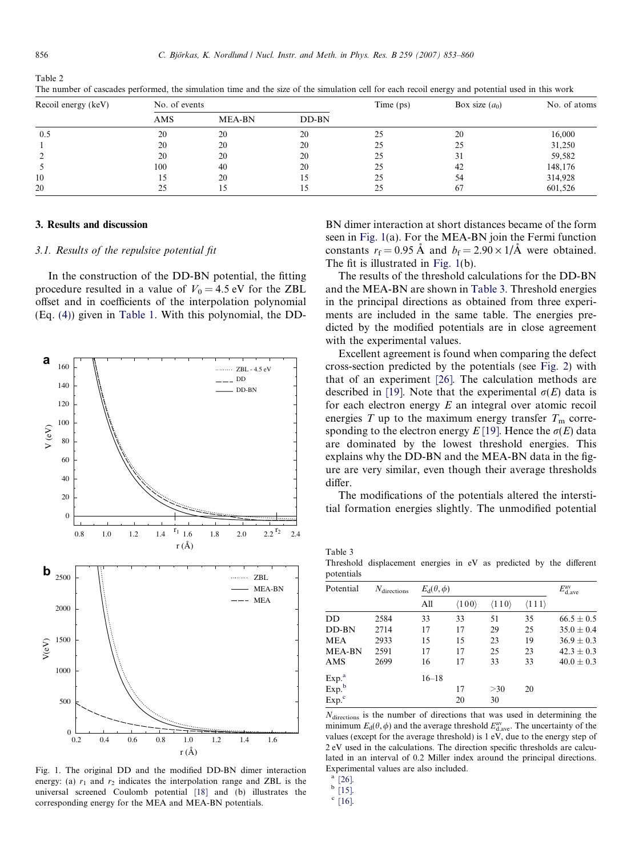| Recoil energy (keV) | No. of events |               |       | Time (ps) | Box size $(a_0)$ | No. of atoms |
|---------------------|---------------|---------------|-------|-----------|------------------|--------------|
|                     | AMS           | <b>MEA-BN</b> | DD-BN |           |                  |              |
| 0.5                 | 20            | 20            | 20    | 25        | 20               | 16,000       |
|                     | 20            | 20            | 20    | 25        | 25               | 31,250       |
|                     | 20            | 20            | 20    | 25        | 31               | 59,582       |
|                     | 100           | 40            | 20    | 25        | 42               | 148,176      |
| 10                  |               | 20            | L5    | 25        | 54               | 314,928      |
| 20                  | 25            |               |       |           | 67               | 601,526      |

The number of cascades performed, the simulation time and the size of the simulation cell for each recoil energy and potential used in this work

## 3. Results and discussion

#### 3.1. Results of the repulsive potential fit

In the construction of the DD-BN potential, the fitting procedure resulted in a value of  $V_0 = 4.5$  eV for the ZBL offset and in coefficients of the interpolation polynomial (Eq. [\(4\)\)](#page-1-0) given in [Table 1](#page-2-0). With this polynomial, the DD-



Fig. 1. The original DD and the modified DD-BN dimer interaction energy: (a)  $r_1$  and  $r_2$  indicates the interpolation range and ZBL is the universal screened Coulomb potential [\[18\]](#page-7-0) and (b) illustrates the corresponding energy for the MEA and MEA-BN potentials.

BN dimer interaction at short distances became of the form seen in Fig. 1(a). For the MEA-BN join the Fermi function constants  $r_f = 0.95 \text{ Å}$  and  $b_f = 2.90 \times 1/\text{Å}$  were obtained. The fit is illustrated in Fig. 1(b).

The results of the threshold calculations for the DD-BN and the MEA-BN are shown in Table 3. Threshold energies in the principal directions as obtained from three experiments are included in the same table. The energies predicted by the modified potentials are in close agreement with the experimental values.

Excellent agreement is found when comparing the defect cross-section predicted by the potentials (see [Fig. 2\)](#page-4-0) with that of an experiment [\[26\]](#page-7-0). The calculation methods are described in [\[19\].](#page-7-0) Note that the experimental  $\sigma(E)$  data is for each electron energy  $E$  an integral over atomic recoil energies  $T$  up to the maximum energy transfer  $T<sub>m</sub>$  corresponding to the electron energy  $E$  [\[19\]](#page-7-0). Hence the  $\sigma(E)$  data are dominated by the lowest threshold energies. This explains why the DD-BN and the MEA-BN data in the figure are very similar, even though their average thresholds differ.

The modifications of the potentials altered the interstitial formation energies slightly. The unmodified potential

Table 3

Threshold displacement energies in eV as predicted by the different potentials

| Potential         | $N_{\text{directions}}$ | $E_{\rm d}(\theta,\phi)$ | $E_{\rm d,ave}^{\rm av}$ |                       |                       |                |
|-------------------|-------------------------|--------------------------|--------------------------|-----------------------|-----------------------|----------------|
|                   |                         | All                      | $\langle 100 \rangle$    | $\langle 110 \rangle$ | $\langle 111 \rangle$ |                |
| DD                | 2584                    | 33                       | 33                       | 51                    | 35                    | $66.5 \pm 0.5$ |
| DD-BN             | 2714                    | 17                       | 17                       | 29                    | 25                    | $35.0 \pm 0.4$ |
| <b>MEA</b>        | 2933                    | 15                       | 15                       | 23                    | 19                    | $36.9 \pm 0.3$ |
| <b>MEA-BN</b>     | 2591                    | 17                       | 17                       | 25                    | 23                    | $42.3 \pm 0.3$ |
| AMS               | 2699                    | 16                       | 17                       | 33                    | 33                    | $40.0 \pm 0.3$ |
| Exp. <sup>a</sup> |                         | $16 - 18$                |                          |                       |                       |                |
| Exp. <sup>b</sup> |                         |                          | 17                       | >30                   | 20                    |                |
| Exp. <sup>c</sup> |                         |                          | 20                       | 30                    |                       |                |

 $N_{\text{directions}}$  is the number of directions that was used in determining the minimum  $E_d(\theta,\phi)$  and the average threshold  $E_{d,\text{ave}}^{\text{av}}$ . The uncertainty of the values (except for the average threshold) is  $1 \text{ eV}$ , due to the energy step of 2 eV used in the calculations. The direction specific thresholds are calculated in an interval of 0.2 Miller index around the principal directions. Experimental values are also included.

 $[26]$ .

- $^{b}$  [\[15\].](#page-7-0)
- $c$  [\[16\].](#page-7-0)

<span id="page-3-0"></span>Table 2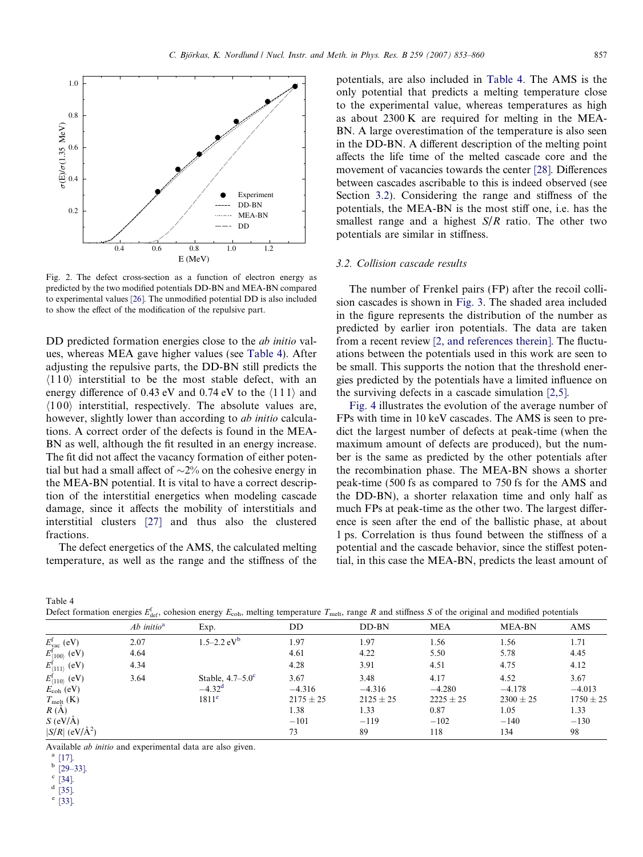<span id="page-4-0"></span>

Fig. 2. The defect cross-section as a function of electron energy as predicted by the two modified potentials DD-BN and MEA-BN compared to experimental values [\[26\]](#page-7-0). The unmodified potential DD is also included to show the effect of the modification of the repulsive part.

DD predicted formation energies close to the *ab initio* values, whereas MEA gave higher values (see Table 4). After adjusting the repulsive parts, the DD-BN still predicts the  $\langle 110 \rangle$  interstitial to be the most stable defect, with an energy difference of 0.43 eV and 0.74 eV to the  $\langle 111 \rangle$  and  $(100)$  interstitial, respectively. The absolute values are, however, slightly lower than according to *ab initio* calculations. A correct order of the defects is found in the MEA-BN as well, although the fit resulted in an energy increase. The fit did not affect the vacancy formation of either potential but had a small affect of  $\sim$ 2% on the cohesive energy in the MEA-BN potential. It is vital to have a correct description of the interstitial energetics when modeling cascade damage, since it affects the mobility of interstitials and interstitial clusters [\[27\]](#page-7-0) and thus also the clustered fractions.

The defect energetics of the AMS, the calculated melting temperature, as well as the range and the stiffness of the potentials, are also included in Table 4. The AMS is the only potential that predicts a melting temperature close to the experimental value, whereas temperatures as high as about 2300 K are required for melting in the MEA-BN. A large overestimation of the temperature is also seen in the DD-BN. A different description of the melting point affects the life time of the melted cascade core and the movement of vacancies towards the center [\[28\]](#page-7-0). Differences between cascades ascribable to this is indeed observed (see Section 3.2). Considering the range and stiffness of the potentials, the MEA-BN is the most stiff one, i.e. has the smallest range and a highest  $S/R$  ratio. The other two potentials are similar in stiffness.

#### 3.2. Collision cascade results

The number of Frenkel pairs (FP) after the recoil collision cascades is shown in [Fig. 3](#page-5-0). The shaded area included in the figure represents the distribution of the number as predicted by earlier iron potentials. The data are taken from a recent review [\[2, and references therein\]](#page-7-0). The fluctuations between the potentials used in this work are seen to be small. This supports the notion that the threshold energies predicted by the potentials have a limited influence on the surviving defects in a cascade simulation [\[2,5\].](#page-7-0)

[Fig. 4](#page-5-0) illustrates the evolution of the average number of FPs with time in 10 keV cascades. The AMS is seen to predict the largest number of defects at peak-time (when the maximum amount of defects are produced), but the number is the same as predicted by the other potentials after the recombination phase. The MEA-BN shows a shorter peak-time (500 fs as compared to 750 fs for the AMS and the DD-BN), a shorter relaxation time and only half as much FPs at peak-time as the other two. The largest difference is seen after the end of the ballistic phase, at about 1 ps. Correlation is thus found between the stiffness of a potential and the cascade behavior, since the stiffest potential, in this case the MEA-BN, predicts the least amount of

| Table 4                                                                                                                                                                                            |  |  |  |
|----------------------------------------------------------------------------------------------------------------------------------------------------------------------------------------------------|--|--|--|
| Defect formation energies $E_{\text{def}}^{\text{f}}$ , cohesion energy $E_{\text{coh}}$ , melting temperature $T_{\text{melt}}$ , range R and stiffness S of the original and modified potentials |  |  |  |

|                                                                                                                         | $Ab$ initio <sup>a</sup> | Exp.                        | DD            | DD-BN         | <b>MEA</b>    | <b>MEA-BN</b> | AMS           |
|-------------------------------------------------------------------------------------------------------------------------|--------------------------|-----------------------------|---------------|---------------|---------------|---------------|---------------|
|                                                                                                                         | 2.07                     | $1.5 - 2.2$ eV <sup>b</sup> | 1.97          | 1.97          | 1.56          | 1.56          | 1.71          |
| $\begin{array}{c} E_{\text{vac}}^{\text{f}}\ (\text{eV})\\ E_{\langle 100\rangle }^{\text{f}}\ (\text{eV}) \end{array}$ | 4.64                     |                             | 4.61          | 4.22          | 5.50          | 5.78          | 4.45          |
| $E_{\langle 111\rangle}^{\rm f}$ (eV)                                                                                   | 4.34                     |                             | 4.28          | 3.91          | 4.51          | 4.75          | 4.12          |
| $E_{\langle 110 \rangle}^{\rm f}$ (eV)                                                                                  | 3.64                     | Stable, $4.7 - 5.0^{\circ}$ | 3.67          | 3.48          | 4.17          | 4.52          | 3.67          |
| $E_{\rm coh}$ (eV)                                                                                                      |                          | $-4.32d$                    | $-4.316$      | $-4.316$      | $-4.280$      | $-4.178$      | $-4.013$      |
| $T_{\text{melt}}$ (K)                                                                                                   |                          | $1811^e$                    | $2175 \pm 25$ | $2125 \pm 25$ | $2225 \pm 25$ | $2300 \pm 25$ | $1750 \pm 25$ |
| R(A)                                                                                                                    |                          |                             | 1.38          | 1.33          | 0.87          | 1.05          | 1.33          |
| $S$ (eV/ $\AA$ )                                                                                                        |                          |                             | $-101$        | $-119$        | $-102$        | $-140$        | $-130$        |
| $ S/R $ (eV/ $\AA^2$ )                                                                                                  |                          |                             | 73            | 89            | 118           | 134           | 98            |

Available ab initio and experimental data are also given.

 $\frac{b}{c}$  [\[29–33\].](#page-7-0)

 $d$  [\[35\].](#page-7-0) <sup>e</sup> [\[33\].](#page-7-0)

<sup>a</sup> [\[17\].](#page-7-0)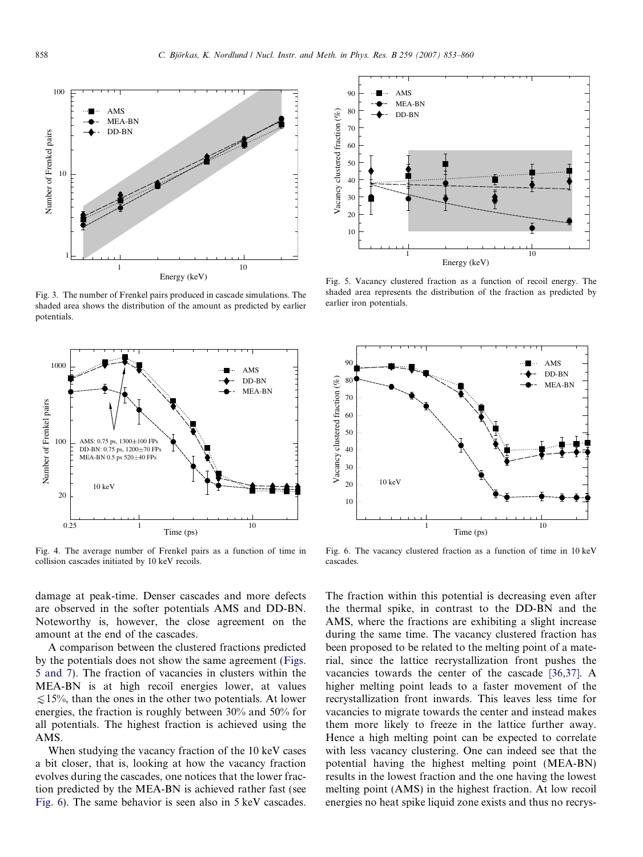<span id="page-5-0"></span>

Fig. 3. The number of Frenkel pairs produced in cascade simulations. The shaded area shows the distribution of the amount as predicted by earlier potentials.



Fig. 4. The average number of Frenkel pairs as a function of time in collision cascades initiated by 10 keV recoils.

damage at peak-time. Denser cascades and more defects are observed in the softer potentials AMS and DD-BN. Noteworthy is, however, the close agreement on the amount at the end of the cascades.

A comparison between the clustered fractions predicted by the potentials does not show the same agreement (Figs. 5 and 7). The fraction of vacancies in clusters within the MEA-BN is at high recoil energies lower, at values  $\leq$  15%, than the ones in the other two potentials. At lower energies, the fraction is roughly between 30% and 50% for all potentials. The highest fraction is achieved using the AMS.

When studying the vacancy fraction of the 10 keV cases a bit closer, that is, looking at how the vacancy fraction evolves during the cascades, one notices that the lower fraction predicted by the MEA-BN is achieved rather fast (see Fig. 6). The same behavior is seen also in 5 keV cascades.



Fig. 5. Vacancy clustered fraction as a function of recoil energy. The shaded area represents the distribution of the fraction as predicted by earlier iron potentials.



Fig. 6. The vacancy clustered fraction as a function of time in 10 keV cascades.

The fraction within this potential is decreasing even after the thermal spike, in contrast to the DD-BN and the AMS, where the fractions are exhibiting a slight increase during the same time. The vacancy clustered fraction has been proposed to be related to the melting point of a material, since the lattice recrystallization front pushes the vacancies towards the center of the cascade [\[36,37\].](#page-7-0) A higher melting point leads to a faster movement of the recrystallization front inwards. This leaves less time for vacancies to migrate towards the center and instead makes them more likely to freeze in the lattice further away. Hence a high melting point can be expected to correlate with less vacancy clustering. One can indeed see that the potential having the highest melting point (MEA-BN) results in the lowest fraction and the one having the lowest melting point (AMS) in the highest fraction. At low recoil energies no heat spike liquid zone exists and thus no recrys-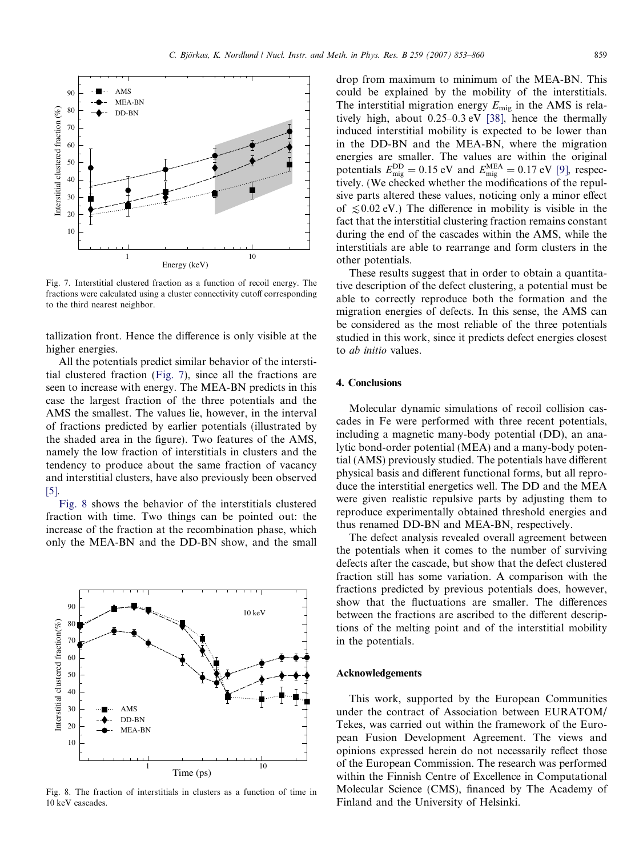

Fig. 7. Interstitial clustered fraction as a function of recoil energy. The fractions were calculated using a cluster connectivity cutoff corresponding to the third nearest neighbor.

tallization front. Hence the difference is only visible at the higher energies.

All the potentials predict similar behavior of the interstitial clustered fraction (Fig. 7), since all the fractions are seen to increase with energy. The MEA-BN predicts in this case the largest fraction of the three potentials and the AMS the smallest. The values lie, however, in the interval of fractions predicted by earlier potentials (illustrated by the shaded area in the figure). Two features of the AMS, namely the low fraction of interstitials in clusters and the tendency to produce about the same fraction of vacancy and interstitial clusters, have also previously been observed [\[5\].](#page-7-0)

Fig. 8 shows the behavior of the interstitials clustered fraction with time. Two things can be pointed out: the increase of the fraction at the recombination phase, which only the MEA-BN and the DD-BN show, and the small



Fig. 8. The fraction of interstitials in clusters as a function of time in 10 keV cascades.

drop from maximum to minimum of the MEA-BN. This could be explained by the mobility of the interstitials. The interstitial migration energy  $E_{\text{mig}}$  in the AMS is relatively high, about 0.25–0.3 eV [\[38\]](#page-7-0), hence the thermally induced interstitial mobility is expected to be lower than in the DD-BN and the MEA-BN, where the migration energies are smaller. The values are within the original potentials  $E_{\text{mig}}^{\text{DD}} = 0.15 \text{ eV}$  and  $E_{\text{mig}}^{\text{MEA}} = 0.17 \text{ eV}$  [\[9\]](#page-7-0), respectively. (We checked whether the modifications of the repulsive parts altered these values, noticing only a minor effect of  $\leq 0.02$  eV.) The difference in mobility is visible in the fact that the interstitial clustering fraction remains constant during the end of the cascades within the AMS, while the interstitials are able to rearrange and form clusters in the other potentials.

These results suggest that in order to obtain a quantitative description of the defect clustering, a potential must be able to correctly reproduce both the formation and the migration energies of defects. In this sense, the AMS can be considered as the most reliable of the three potentials studied in this work, since it predicts defect energies closest to ab initio values.

# 4. Conclusions

Molecular dynamic simulations of recoil collision cascades in Fe were performed with three recent potentials, including a magnetic many-body potential (DD), an analytic bond-order potential (MEA) and a many-body potential (AMS) previously studied. The potentials have different physical basis and different functional forms, but all reproduce the interstitial energetics well. The DD and the MEA were given realistic repulsive parts by adjusting them to reproduce experimentally obtained threshold energies and thus renamed DD-BN and MEA-BN, respectively.

The defect analysis revealed overall agreement between the potentials when it comes to the number of surviving defects after the cascade, but show that the defect clustered fraction still has some variation. A comparison with the fractions predicted by previous potentials does, however, show that the fluctuations are smaller. The differences between the fractions are ascribed to the different descriptions of the melting point and of the interstitial mobility in the potentials.

#### Acknowledgements

This work, supported by the European Communities under the contract of Association between EURATOM/ Tekes, was carried out within the framework of the European Fusion Development Agreement. The views and opinions expressed herein do not necessarily reflect those of the European Commission. The research was performed within the Finnish Centre of Excellence in Computational Molecular Science (CMS), financed by The Academy of Finland and the University of Helsinki.